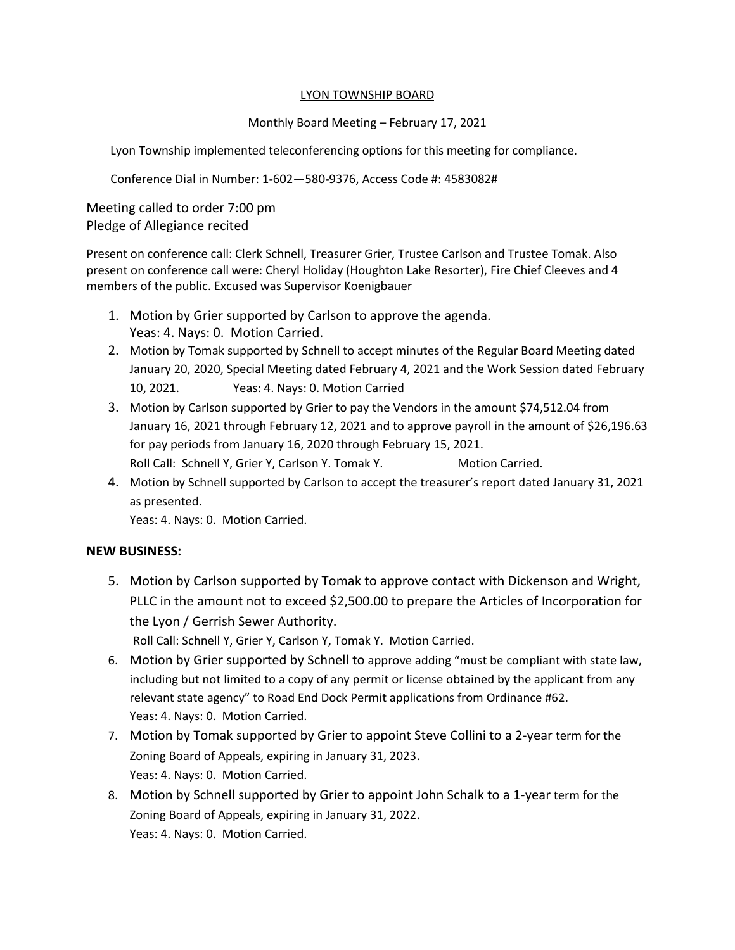#### LYON TOWNSHIP BOARD

# Monthly Board Meeting – February 17, 2021

Lyon Township implemented teleconferencing options for this meeting for compliance.

Conference Dial in Number: 1-602—580-9376, Access Code #: 4583082#

Meeting called to order 7:00 pm Pledge of Allegiance recited

Present on conference call: Clerk Schnell, Treasurer Grier, Trustee Carlson and Trustee Tomak. Also present on conference call were: Cheryl Holiday (Houghton Lake Resorter), Fire Chief Cleeves and 4 members of the public. Excused was Supervisor Koenigbauer

- 1. Motion by Grier supported by Carlson to approve the agenda. Yeas: 4. Nays: 0. Motion Carried.
- 2. Motion by Tomak supported by Schnell to accept minutes of the Regular Board Meeting dated January 20, 2020, Special Meeting dated February 4, 2021 and the Work Session dated February 10, 2021. Yeas: 4. Nays: 0. Motion Carried
- 3. Motion by Carlson supported by Grier to pay the Vendors in the amount \$74,512.04 from January 16, 2021 through February 12, 2021 and to approve payroll in the amount of \$26,196.63 for pay periods from January 16, 2020 through February 15, 2021. Roll Call: Schnell Y, Grier Y, Carlson Y. Tomak Y. Motion Carried.
- 4. Motion by Schnell supported by Carlson to accept the treasurer's report dated January 31, 2021 as presented.

Yeas: 4. Nays: 0. Motion Carried.

## **NEW BUSINESS:**

5. Motion by Carlson supported by Tomak to approve contact with Dickenson and Wright, PLLC in the amount not to exceed \$2,500.00 to prepare the Articles of Incorporation for the Lyon / Gerrish Sewer Authority.

Roll Call: Schnell Y, Grier Y, Carlson Y, Tomak Y. Motion Carried.

- 6. Motion by Grier supported by Schnell to approve adding "must be compliant with state law, including but not limited to a copy of any permit or license obtained by the applicant from any relevant state agency" to Road End Dock Permit applications from Ordinance #62. Yeas: 4. Nays: 0. Motion Carried.
- 7. Motion by Tomak supported by Grier to appoint Steve Collini to a 2-year term for the Zoning Board of Appeals, expiring in January 31, 2023. Yeas: 4. Nays: 0. Motion Carried.
- 8. Motion by Schnell supported by Grier to appoint John Schalk to a 1-year term for the Zoning Board of Appeals, expiring in January 31, 2022. Yeas: 4. Nays: 0. Motion Carried.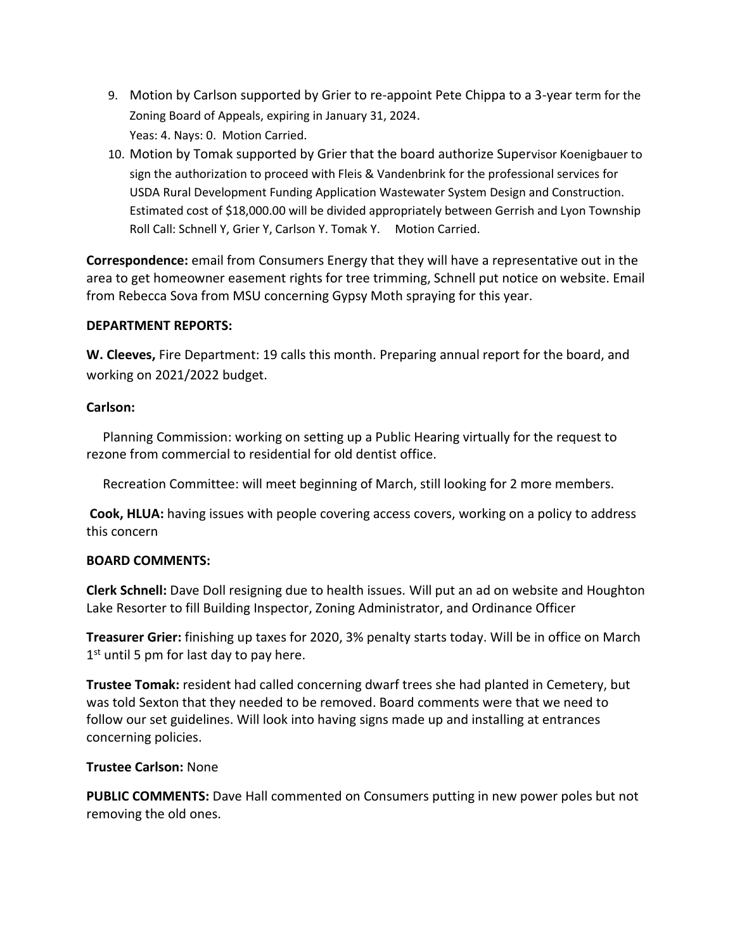- 9. Motion by Carlson supported by Grier to re-appoint Pete Chippa to a 3-year term for the Zoning Board of Appeals, expiring in January 31, 2024. Yeas: 4. Nays: 0. Motion Carried.
- 10. Motion by Tomak supported by Grier that the board authorize Supervisor Koenigbauer to sign the authorization to proceed with Fleis & Vandenbrink for the professional services for USDA Rural Development Funding Application Wastewater System Design and Construction. Estimated cost of \$18,000.00 will be divided appropriately between Gerrish and Lyon Township Roll Call: Schnell Y, Grier Y, Carlson Y. Tomak Y. Motion Carried.

**Correspondence:** email from Consumers Energy that they will have a representative out in the area to get homeowner easement rights for tree trimming, Schnell put notice on website. Email from Rebecca Sova from MSU concerning Gypsy Moth spraying for this year.

## **DEPARTMENT REPORTS:**

**W. Cleeves,** Fire Department: 19 calls this month. Preparing annual report for the board, and working on 2021/2022 budget.

#### **Carlson:**

 Planning Commission: working on setting up a Public Hearing virtually for the request to rezone from commercial to residential for old dentist office.

Recreation Committee: will meet beginning of March, still looking for 2 more members.

**Cook, HLUA:** having issues with people covering access covers, working on a policy to address this concern

## **BOARD COMMENTS:**

**Clerk Schnell:** Dave Doll resigning due to health issues. Will put an ad on website and Houghton Lake Resorter to fill Building Inspector, Zoning Administrator, and Ordinance Officer

**Treasurer Grier:** finishing up taxes for 2020, 3% penalty starts today. Will be in office on March 1<sup>st</sup> until 5 pm for last day to pay here.

**Trustee Tomak:** resident had called concerning dwarf trees she had planted in Cemetery, but was told Sexton that they needed to be removed. Board comments were that we need to follow our set guidelines. Will look into having signs made up and installing at entrances concerning policies.

## **Trustee Carlson:** None

**PUBLIC COMMENTS:** Dave Hall commented on Consumers putting in new power poles but not removing the old ones.